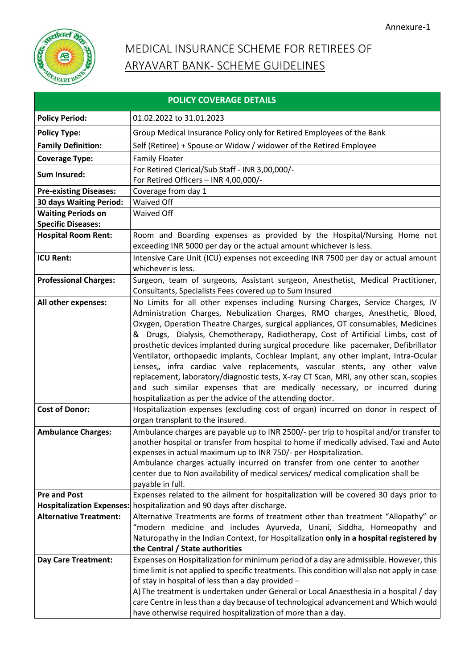

# MEDICAL INSURANCE SCHEME FOR RETIREES OF ARYAVART BANK- SCHEME GUIDELINES

| <b>POLICY COVERAGE DETAILS</b>                                            |                                                                                                                                                                                                                                                                                                                                                                                                                                                                                                                                                                                                                                                                                                                                                                                                                                                                                                                                                                                                                                                                                                                                                                                                                                                                                                                                                                                                                    |  |  |  |
|---------------------------------------------------------------------------|--------------------------------------------------------------------------------------------------------------------------------------------------------------------------------------------------------------------------------------------------------------------------------------------------------------------------------------------------------------------------------------------------------------------------------------------------------------------------------------------------------------------------------------------------------------------------------------------------------------------------------------------------------------------------------------------------------------------------------------------------------------------------------------------------------------------------------------------------------------------------------------------------------------------------------------------------------------------------------------------------------------------------------------------------------------------------------------------------------------------------------------------------------------------------------------------------------------------------------------------------------------------------------------------------------------------------------------------------------------------------------------------------------------------|--|--|--|
| <b>Policy Period:</b>                                                     | 01.02.2022 to 31.01.2023                                                                                                                                                                                                                                                                                                                                                                                                                                                                                                                                                                                                                                                                                                                                                                                                                                                                                                                                                                                                                                                                                                                                                                                                                                                                                                                                                                                           |  |  |  |
| <b>Policy Type:</b>                                                       | Group Medical Insurance Policy only for Retired Employees of the Bank                                                                                                                                                                                                                                                                                                                                                                                                                                                                                                                                                                                                                                                                                                                                                                                                                                                                                                                                                                                                                                                                                                                                                                                                                                                                                                                                              |  |  |  |
| <b>Family Definition:</b>                                                 | Self (Retiree) + Spouse or Widow / widower of the Retired Employee                                                                                                                                                                                                                                                                                                                                                                                                                                                                                                                                                                                                                                                                                                                                                                                                                                                                                                                                                                                                                                                                                                                                                                                                                                                                                                                                                 |  |  |  |
| <b>Coverage Type:</b>                                                     | <b>Family Floater</b>                                                                                                                                                                                                                                                                                                                                                                                                                                                                                                                                                                                                                                                                                                                                                                                                                                                                                                                                                                                                                                                                                                                                                                                                                                                                                                                                                                                              |  |  |  |
| <b>Sum Insured:</b>                                                       | For Retired Clerical/Sub Staff - INR 3,00,000/-                                                                                                                                                                                                                                                                                                                                                                                                                                                                                                                                                                                                                                                                                                                                                                                                                                                                                                                                                                                                                                                                                                                                                                                                                                                                                                                                                                    |  |  |  |
|                                                                           | For Retired Officers - INR 4,00,000/-                                                                                                                                                                                                                                                                                                                                                                                                                                                                                                                                                                                                                                                                                                                                                                                                                                                                                                                                                                                                                                                                                                                                                                                                                                                                                                                                                                              |  |  |  |
| <b>Pre-existing Diseases:</b>                                             | Coverage from day 1                                                                                                                                                                                                                                                                                                                                                                                                                                                                                                                                                                                                                                                                                                                                                                                                                                                                                                                                                                                                                                                                                                                                                                                                                                                                                                                                                                                                |  |  |  |
| 30 days Waiting Period:                                                   | <b>Waived Off</b>                                                                                                                                                                                                                                                                                                                                                                                                                                                                                                                                                                                                                                                                                                                                                                                                                                                                                                                                                                                                                                                                                                                                                                                                                                                                                                                                                                                                  |  |  |  |
| <b>Waiting Periods on</b><br><b>Specific Diseases:</b>                    | Waived Off                                                                                                                                                                                                                                                                                                                                                                                                                                                                                                                                                                                                                                                                                                                                                                                                                                                                                                                                                                                                                                                                                                                                                                                                                                                                                                                                                                                                         |  |  |  |
| <b>Hospital Room Rent:</b>                                                | Room and Boarding expenses as provided by the Hospital/Nursing Home not                                                                                                                                                                                                                                                                                                                                                                                                                                                                                                                                                                                                                                                                                                                                                                                                                                                                                                                                                                                                                                                                                                                                                                                                                                                                                                                                            |  |  |  |
|                                                                           | exceeding INR 5000 per day or the actual amount whichever is less.                                                                                                                                                                                                                                                                                                                                                                                                                                                                                                                                                                                                                                                                                                                                                                                                                                                                                                                                                                                                                                                                                                                                                                                                                                                                                                                                                 |  |  |  |
| <b>ICU Rent:</b>                                                          | Intensive Care Unit (ICU) expenses not exceeding INR 7500 per day or actual amount<br>whichever is less.                                                                                                                                                                                                                                                                                                                                                                                                                                                                                                                                                                                                                                                                                                                                                                                                                                                                                                                                                                                                                                                                                                                                                                                                                                                                                                           |  |  |  |
| <b>Professional Charges:</b>                                              | Surgeon, team of surgeons, Assistant surgeon, Anesthetist, Medical Practitioner,<br>Consultants, Specialists Fees covered up to Sum Insured                                                                                                                                                                                                                                                                                                                                                                                                                                                                                                                                                                                                                                                                                                                                                                                                                                                                                                                                                                                                                                                                                                                                                                                                                                                                        |  |  |  |
| All other expenses:<br><b>Cost of Donor:</b><br><b>Ambulance Charges:</b> | No Limits for all other expenses including Nursing Charges, Service Charges, IV<br>Administration Charges, Nebulization Charges, RMO charges, Anesthetic, Blood,<br>Oxygen, Operation Theatre Charges, surgical appliances, OT consumables, Medicines<br>Drugs, Dialysis, Chemotherapy, Radiotherapy, Cost of Artificial Limbs, cost of<br>prosthetic devices implanted during surgical procedure like pacemaker, Defibrillator<br>Ventilator, orthopaedic implants, Cochlear Implant, any other implant, Intra-Ocular<br>Lenses,, infra cardiac valve replacements, vascular stents, any other valve<br>replacement, laboratory/diagnostic tests, X-ray CT Scan, MRI, any other scan, scopies<br>and such similar expenses that are medically necessary, or incurred during<br>hospitalization as per the advice of the attending doctor.<br>Hospitalization expenses (excluding cost of organ) incurred on donor in respect of<br>organ transplant to the insured.<br>Ambulance charges are payable up to INR 2500/- per trip to hospital and/or transfer to<br>another hospital or transfer from hospital to home if medically advised. Taxi and Auto<br>expenses in actual maximum up to INR 750/- per Hospitalization.<br>Ambulance charges actually incurred on transfer from one center to another<br>center due to Non availability of medical services/ medical complication shall be<br>payable in full. |  |  |  |
| <b>Pre and Post</b>                                                       | Expenses related to the ailment for hospitalization will be covered 30 days prior to                                                                                                                                                                                                                                                                                                                                                                                                                                                                                                                                                                                                                                                                                                                                                                                                                                                                                                                                                                                                                                                                                                                                                                                                                                                                                                                               |  |  |  |
| <b>Hospitalization Expenses:</b>                                          | hospitalization and 90 days after discharge.                                                                                                                                                                                                                                                                                                                                                                                                                                                                                                                                                                                                                                                                                                                                                                                                                                                                                                                                                                                                                                                                                                                                                                                                                                                                                                                                                                       |  |  |  |
| <b>Alternative Treatment:</b>                                             | Alternative Treatments are forms of treatment other than treatment "Allopathy" or                                                                                                                                                                                                                                                                                                                                                                                                                                                                                                                                                                                                                                                                                                                                                                                                                                                                                                                                                                                                                                                                                                                                                                                                                                                                                                                                  |  |  |  |
|                                                                           | "modern medicine and includes Ayurveda, Unani, Siddha, Homeopathy and                                                                                                                                                                                                                                                                                                                                                                                                                                                                                                                                                                                                                                                                                                                                                                                                                                                                                                                                                                                                                                                                                                                                                                                                                                                                                                                                              |  |  |  |
|                                                                           | Naturopathy in the Indian Context, for Hospitalization only in a hospital registered by                                                                                                                                                                                                                                                                                                                                                                                                                                                                                                                                                                                                                                                                                                                                                                                                                                                                                                                                                                                                                                                                                                                                                                                                                                                                                                                            |  |  |  |
|                                                                           | the Central / State authorities                                                                                                                                                                                                                                                                                                                                                                                                                                                                                                                                                                                                                                                                                                                                                                                                                                                                                                                                                                                                                                                                                                                                                                                                                                                                                                                                                                                    |  |  |  |
| <b>Day Care Treatment:</b>                                                | Expenses on Hospitalization for minimum period of a day are admissible. However, this                                                                                                                                                                                                                                                                                                                                                                                                                                                                                                                                                                                                                                                                                                                                                                                                                                                                                                                                                                                                                                                                                                                                                                                                                                                                                                                              |  |  |  |
|                                                                           | time limit is not applied to specific treatments. This condition will also not apply in case                                                                                                                                                                                                                                                                                                                                                                                                                                                                                                                                                                                                                                                                                                                                                                                                                                                                                                                                                                                                                                                                                                                                                                                                                                                                                                                       |  |  |  |
|                                                                           | of stay in hospital of less than a day provided -                                                                                                                                                                                                                                                                                                                                                                                                                                                                                                                                                                                                                                                                                                                                                                                                                                                                                                                                                                                                                                                                                                                                                                                                                                                                                                                                                                  |  |  |  |
|                                                                           | A) The treatment is undertaken under General or Local Anaesthesia in a hospital / day                                                                                                                                                                                                                                                                                                                                                                                                                                                                                                                                                                                                                                                                                                                                                                                                                                                                                                                                                                                                                                                                                                                                                                                                                                                                                                                              |  |  |  |
|                                                                           | care Centre in less than a day because of technological advancement and Which would                                                                                                                                                                                                                                                                                                                                                                                                                                                                                                                                                                                                                                                                                                                                                                                                                                                                                                                                                                                                                                                                                                                                                                                                                                                                                                                                |  |  |  |
|                                                                           | have otherwise required hospitalization of more than a day.                                                                                                                                                                                                                                                                                                                                                                                                                                                                                                                                                                                                                                                                                                                                                                                                                                                                                                                                                                                                                                                                                                                                                                                                                                                                                                                                                        |  |  |  |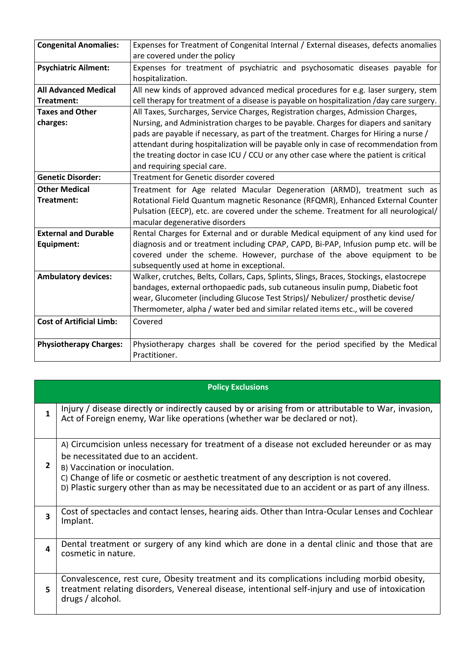| <b>Congenital Anomalies:</b>    | Expenses for Treatment of Congenital Internal / External diseases, defects anomalies     |  |  |  |  |
|---------------------------------|------------------------------------------------------------------------------------------|--|--|--|--|
|                                 | are covered under the policy                                                             |  |  |  |  |
| <b>Psychiatric Ailment:</b>     | Expenses for treatment of psychiatric and psychosomatic diseases payable for             |  |  |  |  |
|                                 | hospitalization.                                                                         |  |  |  |  |
| <b>All Advanced Medical</b>     | All new kinds of approved advanced medical procedures for e.g. laser surgery, stem       |  |  |  |  |
| Treatment:                      | cell therapy for treatment of a disease is payable on hospitalization /day care surgery. |  |  |  |  |
| <b>Taxes and Other</b>          | All Taxes, Surcharges, Service Charges, Registration charges, Admission Charges,         |  |  |  |  |
| charges:                        | Nursing, and Administration charges to be payable. Charges for diapers and sanitary      |  |  |  |  |
|                                 | pads are payable if necessary, as part of the treatment. Charges for Hiring a nurse /    |  |  |  |  |
|                                 | attendant during hospitalization will be payable only in case of recommendation from     |  |  |  |  |
|                                 | the treating doctor in case ICU / CCU or any other case where the patient is critical    |  |  |  |  |
|                                 | and requiring special care.                                                              |  |  |  |  |
| <b>Genetic Disorder:</b>        | Treatment for Genetic disorder covered                                                   |  |  |  |  |
| <b>Other Medical</b>            | Treatment for Age related Macular Degeneration (ARMD), treatment such as                 |  |  |  |  |
| Treatment:                      | Rotational Field Quantum magnetic Resonance (RFQMR), Enhanced External Counter           |  |  |  |  |
|                                 | Pulsation (EECP), etc. are covered under the scheme. Treatment for all neurological/     |  |  |  |  |
|                                 | macular degenerative disorders                                                           |  |  |  |  |
| <b>External and Durable</b>     | Rental Charges for External and or durable Medical equipment of any kind used for        |  |  |  |  |
| Equipment:                      | diagnosis and or treatment including CPAP, CAPD, Bi-PAP, Infusion pump etc. will be      |  |  |  |  |
|                                 | covered under the scheme. However, purchase of the above equipment to be                 |  |  |  |  |
|                                 | subsequently used at home in exceptional.                                                |  |  |  |  |
| <b>Ambulatory devices:</b>      | Walker, crutches, Belts, Collars, Caps, Splints, Slings, Braces, Stockings, elastocrepe  |  |  |  |  |
|                                 | bandages, external orthopaedic pads, sub cutaneous insulin pump, Diabetic foot           |  |  |  |  |
|                                 | wear, Glucometer (including Glucose Test Strips)/ Nebulizer/ prosthetic devise/          |  |  |  |  |
|                                 | Thermometer, alpha / water bed and similar related items etc., will be covered           |  |  |  |  |
| <b>Cost of Artificial Limb:</b> | Covered                                                                                  |  |  |  |  |
|                                 |                                                                                          |  |  |  |  |
| <b>Physiotherapy Charges:</b>   | Physiotherapy charges shall be covered for the period specified by the Medical           |  |  |  |  |
|                                 | Practitioner.                                                                            |  |  |  |  |

| <b>Policy Exclusions</b> |                                                                                                                                                                                                                                                                                                                                                                        |  |  |
|--------------------------|------------------------------------------------------------------------------------------------------------------------------------------------------------------------------------------------------------------------------------------------------------------------------------------------------------------------------------------------------------------------|--|--|
| $\mathbf{1}$             | Injury / disease directly or indirectly caused by or arising from or attributable to War, invasion,<br>Act of Foreign enemy, War like operations (whether war be declared or not).                                                                                                                                                                                     |  |  |
| 2                        | A) Circumcision unless necessary for treatment of a disease not excluded hereunder or as may<br>be necessitated due to an accident.<br>B) Vaccination or inoculation.<br>C) Change of life or cosmetic or aesthetic treatment of any description is not covered.<br>D) Plastic surgery other than as may be necessitated due to an accident or as part of any illness. |  |  |
| 3                        | Cost of spectacles and contact lenses, hearing aids. Other than Intra-Ocular Lenses and Cochlear<br>Implant.                                                                                                                                                                                                                                                           |  |  |
| 4                        | Dental treatment or surgery of any kind which are done in a dental clinic and those that are<br>cosmetic in nature.                                                                                                                                                                                                                                                    |  |  |
| 5                        | Convalescence, rest cure, Obesity treatment and its complications including morbid obesity,<br>treatment relating disorders, Venereal disease, intentional self-injury and use of intoxication<br>drugs / alcohol.                                                                                                                                                     |  |  |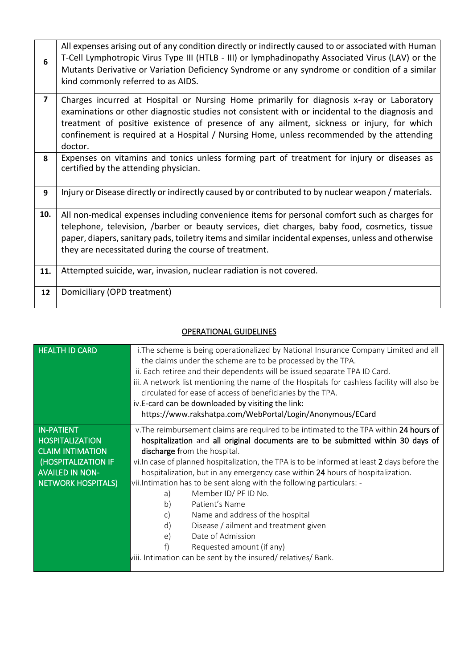| 6              | All expenses arising out of any condition directly or indirectly caused to or associated with Human<br>T-Cell Lymphotropic Virus Type III (HTLB - III) or lymphadinopathy Associated Virus (LAV) or the<br>Mutants Derivative or Variation Deficiency Syndrome or any syndrome or condition of a similar<br>kind commonly referred to as AIDS.                                                   |
|----------------|--------------------------------------------------------------------------------------------------------------------------------------------------------------------------------------------------------------------------------------------------------------------------------------------------------------------------------------------------------------------------------------------------|
| $\overline{7}$ | Charges incurred at Hospital or Nursing Home primarily for diagnosis x-ray or Laboratory<br>examinations or other diagnostic studies not consistent with or incidental to the diagnosis and<br>treatment of positive existence of presence of any ailment, sickness or injury, for which<br>confinement is required at a Hospital / Nursing Home, unless recommended by the attending<br>doctor. |
| 8              | Expenses on vitamins and tonics unless forming part of treatment for injury or diseases as<br>certified by the attending physician.                                                                                                                                                                                                                                                              |
| 9              | Injury or Disease directly or indirectly caused by or contributed to by nuclear weapon / materials.                                                                                                                                                                                                                                                                                              |
| 10.            | All non-medical expenses including convenience items for personal comfort such as charges for<br>telephone, television, /barber or beauty services, diet charges, baby food, cosmetics, tissue<br>paper, diapers, sanitary pads, toiletry items and similar incidental expenses, unless and otherwise<br>they are necessitated during the course of treatment.                                   |
| 11.            | Attempted suicide, war, invasion, nuclear radiation is not covered.                                                                                                                                                                                                                                                                                                                              |
| 12             | Domiciliary (OPD treatment)                                                                                                                                                                                                                                                                                                                                                                      |

# OPERATIONAL GUIDELINES

| <b>HEALTH ID CARD</b>     | i. The scheme is being operationalized by National Insurance Company Limited and all<br>the claims under the scheme are to be processed by the TPA.<br>ii. Each retiree and their dependents will be issued separate TPA ID Card.<br>iii. A network list mentioning the name of the Hospitals for cashless facility will also be<br>circulated for ease of access of beneficiaries by the TPA.<br>iv.E-card can be downloaded by visiting the link:<br>https://www.rakshatpa.com/WebPortal/Login/Anonymous/ECard |  |  |  |  |
|---------------------------|------------------------------------------------------------------------------------------------------------------------------------------------------------------------------------------------------------------------------------------------------------------------------------------------------------------------------------------------------------------------------------------------------------------------------------------------------------------------------------------------------------------|--|--|--|--|
| <b>IN-PATIENT</b>         | v. The reimbursement claims are required to be intimated to the TPA within 24 hours of                                                                                                                                                                                                                                                                                                                                                                                                                           |  |  |  |  |
| <b>HOSPITALIZATION</b>    | hospitalization and all original documents are to be submitted within 30 days of                                                                                                                                                                                                                                                                                                                                                                                                                                 |  |  |  |  |
| <b>CLAIM INTIMATION</b>   | discharge from the hospital.                                                                                                                                                                                                                                                                                                                                                                                                                                                                                     |  |  |  |  |
| (HOSPITALIZATION IF       | vi. In case of planned hospitalization, the TPA is to be informed at least 2 days before the                                                                                                                                                                                                                                                                                                                                                                                                                     |  |  |  |  |
| <b>AVAILED IN NON-</b>    | hospitalization, but in any emergency case within 24 hours of hospitalization.                                                                                                                                                                                                                                                                                                                                                                                                                                   |  |  |  |  |
| <b>NETWORK HOSPITALS)</b> | vii. Intimation has to be sent along with the following particulars: -                                                                                                                                                                                                                                                                                                                                                                                                                                           |  |  |  |  |
|                           | Member ID/ PF ID No.<br>a)                                                                                                                                                                                                                                                                                                                                                                                                                                                                                       |  |  |  |  |
|                           | Patient's Name<br>b)                                                                                                                                                                                                                                                                                                                                                                                                                                                                                             |  |  |  |  |
|                           | Name and address of the hospital<br>C)                                                                                                                                                                                                                                                                                                                                                                                                                                                                           |  |  |  |  |
|                           | d)<br>Disease / ailment and treatment given                                                                                                                                                                                                                                                                                                                                                                                                                                                                      |  |  |  |  |
|                           | Date of Admission<br>e)                                                                                                                                                                                                                                                                                                                                                                                                                                                                                          |  |  |  |  |
|                           | Requested amount (if any)                                                                                                                                                                                                                                                                                                                                                                                                                                                                                        |  |  |  |  |
|                           | viii. Intimation can be sent by the insured/ relatives/ Bank.                                                                                                                                                                                                                                                                                                                                                                                                                                                    |  |  |  |  |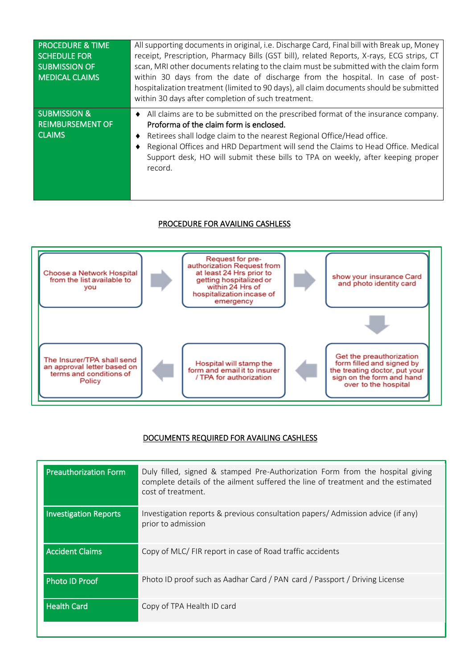| <b>PROCEDURE &amp; TIME</b><br><b>SCHEDULE FOR</b><br><b>SUBMISSION OF</b><br><b>MEDICAL CLAIMS</b> | All supporting documents in original, i.e. Discharge Card, Final bill with Break up, Money<br>receipt, Prescription, Pharmacy Bills (GST bill), related Reports, X-rays, ECG strips, CT<br>scan, MRI other documents relating to the claim must be submitted with the claim form<br>within 30 days from the date of discharge from the hospital. In case of post-<br>hospitalization treatment (limited to 90 days), all claim documents should be submitted<br>within 30 days after completion of such treatment. |
|-----------------------------------------------------------------------------------------------------|--------------------------------------------------------------------------------------------------------------------------------------------------------------------------------------------------------------------------------------------------------------------------------------------------------------------------------------------------------------------------------------------------------------------------------------------------------------------------------------------------------------------|
| <b>SUBMISSION &amp;</b><br><b>REIMBURSEMENT OF</b><br><b>CLAIMS</b>                                 | All claims are to be submitted on the prescribed format of the insurance company.<br>$\bullet$<br>Proforma of the claim form is enclosed.<br>Retirees shall lodge claim to the nearest Regional Office/Head office.<br>Regional Offices and HRD Department will send the Claims to Head Office. Medical<br>Support desk, HO will submit these bills to TPA on weekly, after keeping proper<br>record.                                                                                                              |

### PROCEDURE FOR AVAILING CASHLESS



## DOCUMENTS REQUIRED FOR AVAILING CASHLESS

l

| Investigation reports & previous consultation papers/ Admission advice (if any)<br><b>Investigation Reports</b><br>prior to admission<br><b>Accident Claims</b><br>Copy of MLC/ FIR report in case of Road traffic accidents<br>Photo ID proof such as Aadhar Card / PAN card / Passport / Driving License<br><b>Photo ID Proof</b><br><b>Health Card</b><br>Copy of TPA Health ID card | <b>Preauthorization Form</b> | Duly filled, signed & stamped Pre-Authorization Form from the hospital giving<br>complete details of the ailment suffered the line of treatment and the estimated<br>cost of treatment. |
|-----------------------------------------------------------------------------------------------------------------------------------------------------------------------------------------------------------------------------------------------------------------------------------------------------------------------------------------------------------------------------------------|------------------------------|-----------------------------------------------------------------------------------------------------------------------------------------------------------------------------------------|
|                                                                                                                                                                                                                                                                                                                                                                                         |                              |                                                                                                                                                                                         |
|                                                                                                                                                                                                                                                                                                                                                                                         |                              |                                                                                                                                                                                         |
|                                                                                                                                                                                                                                                                                                                                                                                         |                              |                                                                                                                                                                                         |
|                                                                                                                                                                                                                                                                                                                                                                                         |                              |                                                                                                                                                                                         |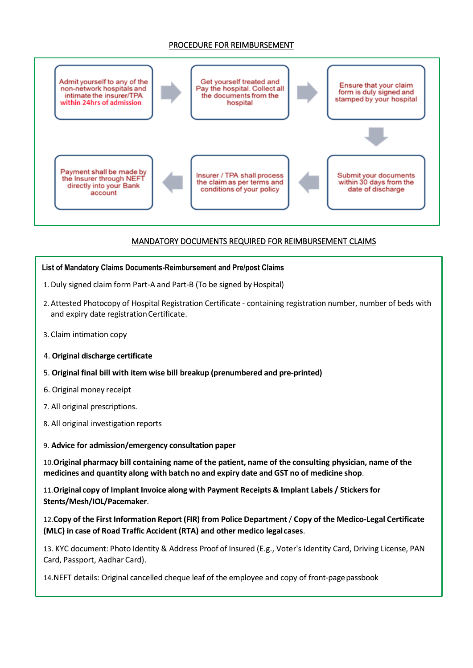#### PROCEDURE FOR REIMBURSEMENT



## MANDATORY DOCUMENTS REQUIRED FOR REIMBURSEMENT CLAIMS

#### **List of Mandatory Claims Documents-Reimbursement and Pre/post Claims**

- 1. Duly signed claim form Part-A and Part-B (To be signed by Hospital)
- 2. Attested Photocopy of Hospital Registration Certificate containing registration number, number of beds with and expiry date registration Certificate.
- 3. Claim intimation copy
- 4. **Original discharge certificate**
- 5. **Original final bill with item wise bill breakup (prenumbered and pre-printed)**
- 6. Original money receipt
- 7. All original prescriptions.
- 8. All original investigation reports
- 9. **Advice for admission/emergency consultation paper**

10.**Original pharmacy bill containing name of the patient, name of the consulting physician, name of the medicines and quantity along with batch no and expiry date and GST no of medicine shop**.

11.**Original copy of Implant Invoice along with Payment Receipts & Implant Labels / Stickersfor Stents/Mesh/IOL/Pacemaker**.

12.**Copy of the First Information Report (FIR) from Police Department**/ **Copy of the Medico-Legal Certificate (MLC) in case of Road Traffic Accident (RTA) and other medico legalcases**.

13. KYC document: Photo Identity & Address Proof of Insured (E.g., Voter's Identity Card, Driving License, PAN Card, Passport, Aadhar Card).

14.NEFT details: Original cancelled cheque leaf of the employee and copy of front-pagepassbook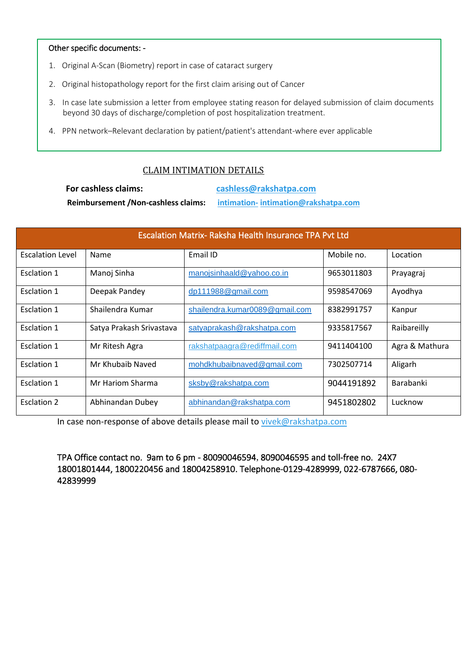#### Other specific documents: -

- 1. Original A-Scan (Biometry) report in case of cataract surgery
- 2. Original histopathology report for the first claim arising out of Cancer
- 3. In case late submission a letter from employee stating reason for delayed submission of claim documents beyond 30 days of discharge/completion of post hospitalization treatment.
- 4. PPN network–Relevant declaration by patient/patient's attendant-where ever applicable

## CLAIM INTIMATION DETAILS

 **For cashless claims: [cashless@rakshatpa.com](mailto:cashless@rakshatpa.com)**

**Reimbursement /Non-cashless claims: [intimation-](mailto:intimation-) intimation@rakshatpa.com**

| <b>Escalation Matrix- Raksha Health Insurance TPA Pvt Ltd</b> |                          |                                |            |                |
|---------------------------------------------------------------|--------------------------|--------------------------------|------------|----------------|
| <b>Escalation Level</b>                                       | Name                     | Email ID                       | Mobile no. | Location       |
| Esclation 1                                                   | Manoj Sinha              | manojsinhaald@yahoo.co.in      | 9653011803 | Prayagraj      |
| Esclation 1                                                   | Deepak Pandey            | dp111988@gmail.com             | 9598547069 | Ayodhya        |
| Esclation 1                                                   | Shailendra Kumar         | shailendra.kumar0089@gmail.com | 8382991757 | Kanpur         |
| <b>Esclation 1</b>                                            | Satya Prakash Srivastava | satyaprakash@rakshatpa.com     | 9335817567 | Raibareilly    |
| <b>Esclation 1</b>                                            | Mr Ritesh Agra           | rakshatpaagra@rediffmail.com   | 9411404100 | Agra & Mathura |
| <b>Esclation 1</b>                                            | Mr Khubaib Naved         | mohdkhubaibnaved@gmail.com     | 7302507714 | Aligarh        |
| <b>Esclation 1</b>                                            | Mr Hariom Sharma         | sksby@rakshatpa.com            | 9044191892 | Barabanki      |
| <b>Esclation 2</b>                                            | Abhinandan Dubey         | abhinandan@rakshatpa.com       | 9451802802 | Lucknow        |

In case non-response of above details please mail to [vivek@rakshatpa.com](mailto:vivek@rakshatpa.com)

TPA Office contact no. 9am to 6 pm - 80090046594, 8090046595 and toll-free no. 24X7 18001801444, 1800220456 and 18004258910. Telephone-0129-4289999, 022-6787666, 080- 42839999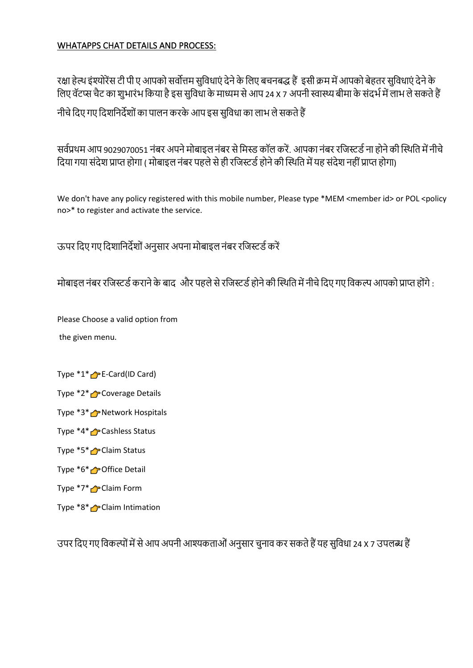## WHATAPPS CHAT DETAILS AND PROCESS:

रक्षा हेल्थ इंश्योरेंस टी पी ए आपको सर्वोत्तम सुविधाएं देने के लिए बचनबद्ध हैं इसी क्रम में आपको बेहतर सुविधाएं देने के विए र्वॅटप्स चैट का शुभारंभ वकया हैइस सुवर्वधा केमाध्यम सेआप 24 X 7 अपनी स्वास्थ्यबीमा केसंदभभमेंिाभ िेसकतेहैं

नीचे दिए गए दिशनिर्देशों का पालन करके आप इस सुविधा का लाभ ले सकते हैं

सर्वप्रथम आप 9029070051 नंबर अपने मोबाइल नंबर से मिस्ड कॉल करें. आपका नंबर रजिस्टर्ड ना होने की स्थिति में नीचे दिया गया संदेश प्राप्त होगा ( मोबाइल नंबर पहले से ही रजिस्टर्ड होने की स्थिति में यह संदेश नहीं प्राप्त होगा)

We don't have any policy registered with this mobile number, Please type \*MEM <member id> or POL <policy no>\* to register and activate the service.

ऊपर दिए गए दिशानिर्देशों अनुसार अपना मोबाइल नंबर रजिस्टर्ड करें

मोबाइल नंबर रजिस्टर्ड कराने के बाद और पहले से रजिस्टर्ड होने की स्थिति में नीचे दिए गए विकल्प आपको प्राप्त होंगे :

Please Choose a valid option from

the given menu.

- Type \*1\* **P** E-Card(ID Card)
- Type \*2\* Coverage Details
- Type  $*3*$  **P** Network Hospitals
- Type \*4\* Cashless Status
- Type \*5\* **C** Claim Status
- Type \*6\* **P**Office Detail
- Type \*7\* Claim Form
- Type \*8\* Claim Intimation

उपर वदए गए वर्वकल्पोंमेंसेआप अपनी आश्यकताओंअनुसार चुनार्व कर सकतेहैंयह सुवर्वधा 24 X 7 उपिब्ध हैं